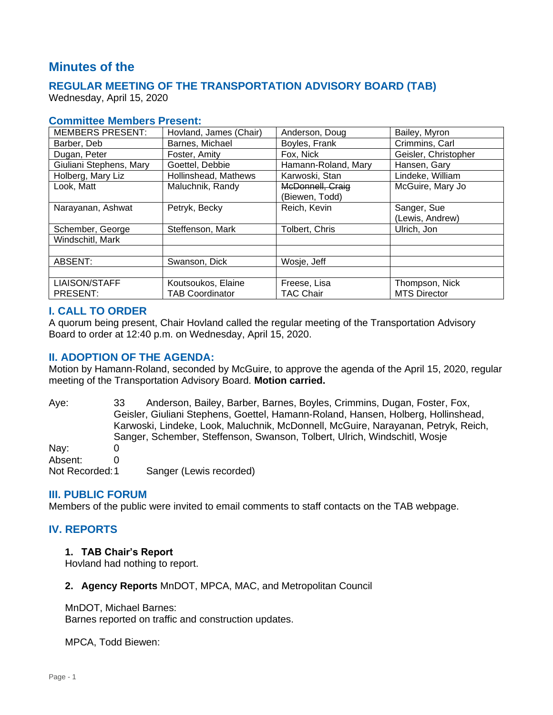# **Minutes of the**

## **REGULAR MEETING OF THE TRANSPORTATION ADVISORY BOARD (TAB)**

Wednesday, April 15, 2020

#### **Committee Members Present:**

| <b>MEMBERS PRESENT:</b> | Hovland, James (Chair) | Anderson, Doug      | Bailey, Myron        |
|-------------------------|------------------------|---------------------|----------------------|
| Barber, Deb             | Barnes, Michael        | Boyles, Frank       | Crimmins, Carl       |
| Dugan, Peter            | Foster, Amity          | Fox, Nick           | Geisler, Christopher |
| Giuliani Stephens, Mary | Goettel, Debbie        | Hamann-Roland, Mary | Hansen, Gary         |
| Holberg, Mary Liz       | Hollinshead, Mathews   | Karwoski, Stan      | Lindeke, William     |
| Look, Matt              | Maluchnik, Randy       | McDonnell, Craig    | McGuire, Mary Jo     |
|                         |                        | (Biewen, Todd)      |                      |
| Narayanan, Ashwat       | Petryk, Becky          | Reich, Kevin        | Sanger, Sue          |
|                         |                        |                     | (Lewis, Andrew)      |
| Schember, George        | Steffenson, Mark       | Tolbert, Chris      | Ulrich, Jon          |
| Windschitl, Mark        |                        |                     |                      |
|                         |                        |                     |                      |
| ABSENT:                 | Swanson, Dick          | Wosje, Jeff         |                      |
|                         |                        |                     |                      |
| <b>LIAISON/STAFF</b>    | Koutsoukos, Elaine     | Freese, Lisa        | Thompson, Nick       |
| PRESENT:                | <b>TAB Coordinator</b> | TAC Chair           | <b>MTS Director</b>  |

#### **I. CALL TO ORDER**

A quorum being present, Chair Hovland called the regular meeting of the Transportation Advisory Board to order at 12:40 p.m. on Wednesday, April 15, 2020.

#### **II. ADOPTION OF THE AGENDA:**

Motion by Hamann-Roland, seconded by McGuire, to approve the agenda of the April 15, 2020, regular meeting of the Transportation Advisory Board. **Motion carried.**

Aye: 33 Anderson, Bailey, Barber, Barnes, Boyles, Crimmins, Dugan, Foster, Fox, Geisler, Giuliani Stephens, Goettel, Hamann-Roland, Hansen, Holberg, Hollinshead, Karwoski, Lindeke, Look, Maluchnik, McDonnell, McGuire, Narayanan, Petryk, Reich, Sanger, Schember, Steffenson, Swanson, Tolbert, Ulrich, Windschitl, Wosje Nav: 0 Absent: 0 Not Recorded:1 Sanger (Lewis recorded)

#### **III. PUBLIC FORUM**

Members of the public were invited to email comments to staff contacts on the TAB webpage.

### **IV. REPORTS**

#### **1. TAB Chair's Report**

Hovland had nothing to report.

#### **2. Agency Reports** MnDOT, MPCA, MAC, and Metropolitan Council

#### MnDOT, Michael Barnes:

Barnes reported on traffic and construction updates.

MPCA, Todd Biewen: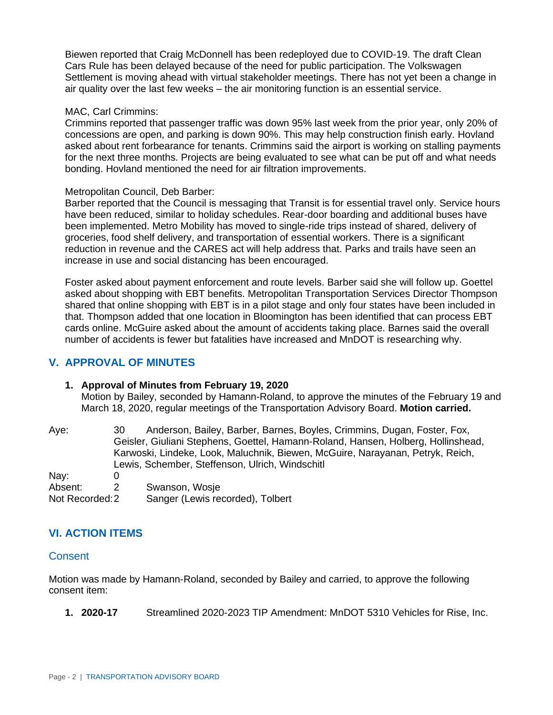Biewen reported that Craig McDonnell has been redeployed due to COVID-19. The draft Clean Cars Rule has been delayed because of the need for public participation. The Volkswagen Settlement is moving ahead with virtual stakeholder meetings. There has not yet been a change in air quality over the last few weeks – the air monitoring function is an essential service.

#### MAC, Carl Crimmins:

Crimmins reported that passenger traffic was down 95% last week from the prior year, only 20% of concessions are open, and parking is down 90%. This may help construction finish early. Hovland asked about rent forbearance for tenants. Crimmins said the airport is working on stalling payments for the next three months. Projects are being evaluated to see what can be put off and what needs bonding. Hovland mentioned the need for air filtration improvements.

#### Metropolitan Council, Deb Barber:

Barber reported that the Council is messaging that Transit is for essential travel only. Service hours have been reduced, similar to holiday schedules. Rear-door boarding and additional buses have been implemented. Metro Mobility has moved to single-ride trips instead of shared, delivery of groceries, food shelf delivery, and transportation of essential workers. There is a significant reduction in revenue and the CARES act will help address that. Parks and trails have seen an increase in use and social distancing has been encouraged.

Foster asked about payment enforcement and route levels. Barber said she will follow up. Goettel asked about shopping with EBT benefits. Metropolitan Transportation Services Director Thompson shared that online shopping with EBT is in a pilot stage and only four states have been included in that. Thompson added that one location in Bloomington has been identified that can process EBT cards online. McGuire asked about the amount of accidents taking place. Barnes said the overall number of accidents is fewer but fatalities have increased and MnDOT is researching why.

## **V. APPROVAL OF MINUTES**

### **1. Approval of Minutes from February 19, 2020**

Motion by Bailey, seconded by Hamann-Roland, to approve the minutes of the February 19 and March 18, 2020, regular meetings of the Transportation Advisory Board. **Motion carried.**

Aye: 30 Anderson, Bailey, Barber, Barnes, Boyles, Crimmins, Dugan, Foster, Fox, Geisler, Giuliani Stephens, Goettel, Hamann-Roland, Hansen, Holberg, Hollinshead, Karwoski, Lindeke, Look, Maluchnik, Biewen, McGuire, Narayanan, Petryk, Reich, Lewis, Schember, Steffenson, Ulrich, Windschitl Nay: 0

Absent: 2 Swanson, Wosje Not Recorded:2 Sanger (Lewis recorded), Tolbert

## **VI. ACTION ITEMS**

### **Consent**

Motion was made by Hamann-Roland, seconded by Bailey and carried, to approve the following consent item:

**1. 2020-17** Streamlined 2020-2023 TIP Amendment: MnDOT 5310 Vehicles for Rise, Inc.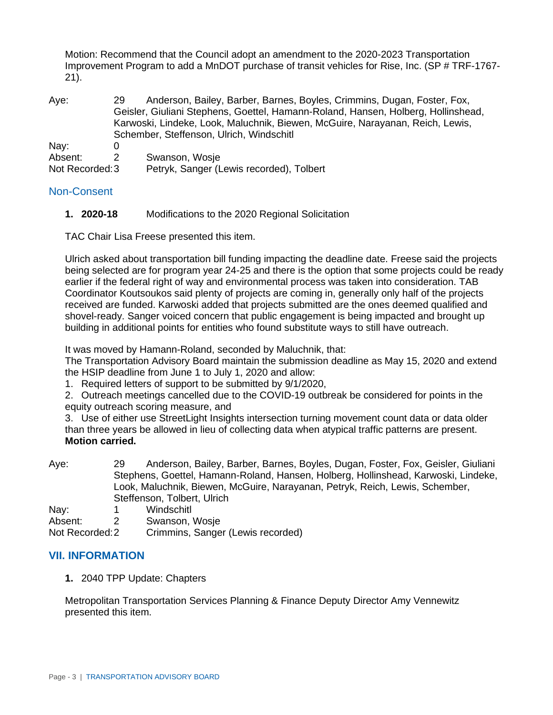Motion: Recommend that the Council adopt an amendment to the 2020-2023 Transportation Improvement Program to add a MnDOT purchase of transit vehicles for Rise, Inc. (SP # TRF-1767- 21).

| Aye:            | 29. | Anderson, Bailey, Barber, Barnes, Boyles, Crimmins, Dugan, Foster, Fox,<br>Geisler, Giuliani Stephens, Goettel, Hamann-Roland, Hansen, Holberg, Hollinshead,<br>Karwoski, Lindeke, Look, Maluchnik, Biewen, McGuire, Narayanan, Reich, Lewis,<br>Schember, Steffenson, Ulrich, Windschitl |  |
|-----------------|-----|-------------------------------------------------------------------------------------------------------------------------------------------------------------------------------------------------------------------------------------------------------------------------------------------|--|
| Nay:            |     |                                                                                                                                                                                                                                                                                           |  |
| Absent:         |     | Swanson, Wosje                                                                                                                                                                                                                                                                            |  |
| Not Recorded: 3 |     | Petryk, Sanger (Lewis recorded), Tolbert                                                                                                                                                                                                                                                  |  |

### Non-Consent

**1. 2020-18** Modifications to the 2020 Regional Solicitation

TAC Chair Lisa Freese presented this item.

Ulrich asked about transportation bill funding impacting the deadline date. Freese said the projects being selected are for program year 24-25 and there is the option that some projects could be ready earlier if the federal right of way and environmental process was taken into consideration. TAB Coordinator Koutsoukos said plenty of projects are coming in, generally only half of the projects received are funded. Karwoski added that projects submitted are the ones deemed qualified and shovel-ready. Sanger voiced concern that public engagement is being impacted and brought up building in additional points for entities who found substitute ways to still have outreach.

It was moved by Hamann-Roland, seconded by Maluchnik, that:

The Transportation Advisory Board maintain the submission deadline as May 15, 2020 and extend the HSIP deadline from June 1 to July 1, 2020 and allow:

1. Required letters of support to be submitted by 9/1/2020,

2. Outreach meetings cancelled due to the COVID-19 outbreak be considered for points in the equity outreach scoring measure, and

3. Use of either use StreetLight Insights intersection turning movement count data or data older than three years be allowed in lieu of collecting data when atypical traffic patterns are present. **Motion carried.**

Aye: 29 Anderson, Bailey, Barber, Barnes, Boyles, Dugan, Foster, Fox, Geisler, Giuliani Stephens, Goettel, Hamann-Roland, Hansen, Holberg, Hollinshead, Karwoski, Lindeke, Look, Maluchnik, Biewen, McGuire, Narayanan, Petryk, Reich, Lewis, Schember, Steffenson, Tolbert, Ulrich

Nay: 1 Windschitl

Absent: 2 Swanson, Wosje

Not Recorded:2 Crimmins, Sanger (Lewis recorded)

### **VII. INFORMATION**

**1.** 2040 TPP Update: Chapters

Metropolitan Transportation Services Planning & Finance Deputy Director Amy Vennewitz presented this item.